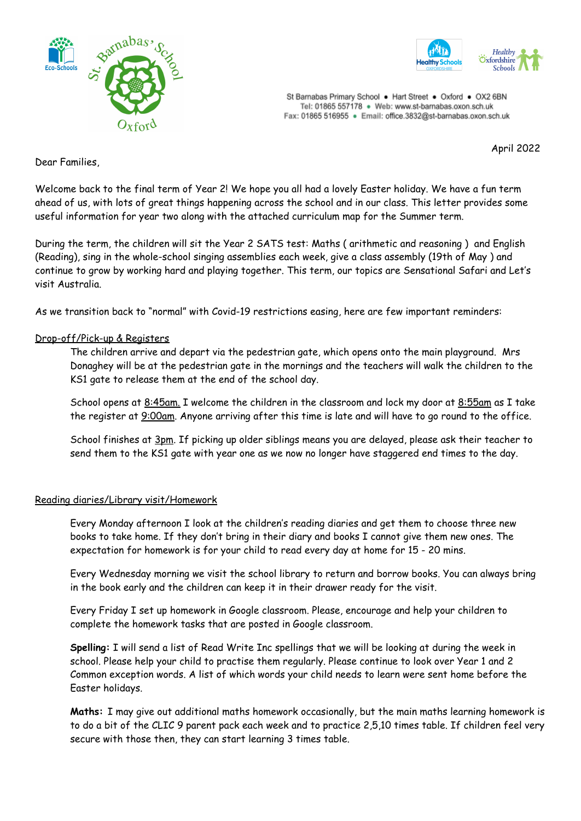



St Barnabas Primary School . Hart Street . Oxford . OX2 6BN Tel: 01865 557178 . Web: www.st-barnabas.oxon.sch.uk Fax: 01865 516955 · Email: office.3832@st-barnabas.oxon.sch.uk

April 2022

Dear Families,

Welcome back to the final term of Year 2! We hope you all had a lovely Easter holiday. We have a fun term ahead of us, with lots of great things happening across the school and in our class. This letter provides some useful information for year two along with the attached curriculum map for the Summer term.

During the term, the children will sit the Year 2 SATS test: Maths ( arithmetic and reasoning ) and English (Reading), sing in the whole-school singing assemblies each week, give a class assembly (19th of May ) and continue to grow by working hard and playing together. This term, our topics are Sensational Safari and Let's visit Australia.

As we transition back to "normal" with Covid-19 restrictions easing, here are few important reminders:

#### Drop-off/Pick-up & Registers

The children arrive and depart via the pedestrian gate, which opens onto the main playground. Mrs Donaghey will be at the pedestrian gate in the mornings and the teachers will walk the children to the KS1 gate to release them at the end of the school day.

School opens at 8:45am. I welcome the children in the classroom and lock my door at 8:55am as I take the register at 9:00am. Anyone arriving after this time is late and will have to go round to the office.

School finishes at 3pm. If picking up older siblings means you are delayed, please ask their teacher to send them to the KS1 gate with year one as we now no longer have staggered end times to the day.

#### Reading diaries/Library visit/Homework

Every Monday afternoon I look at the children's reading diaries and get them to choose three new books to take home. If they don't bring in their diary and books I cannot give them new ones. The expectation for homework is for your child to read every day at home for 15 - 20 mins.

Every Wednesday morning we visit the school library to return and borrow books. You can always bring in the book early and the children can keep it in their drawer ready for the visit.

Every Friday I set up homework in Google classroom. Please, encourage and help your children to complete the homework tasks that are posted in Google classroom.

**Spelling:** I will send a list of Read Write Inc spellings that we will be looking at during the week in school. Please help your child to practise them regularly. Please continue to look over Year 1 and 2 Common exception words. A list of which words your child needs to learn were sent home before the Easter holidays.

**Maths:** I may give out additional maths homework occasionally, but the main maths learning homework is to do a bit of the CLIC 9 parent pack each week and to practice 2,5,10 times table. If children feel very secure with those then, they can start learning 3 times table.